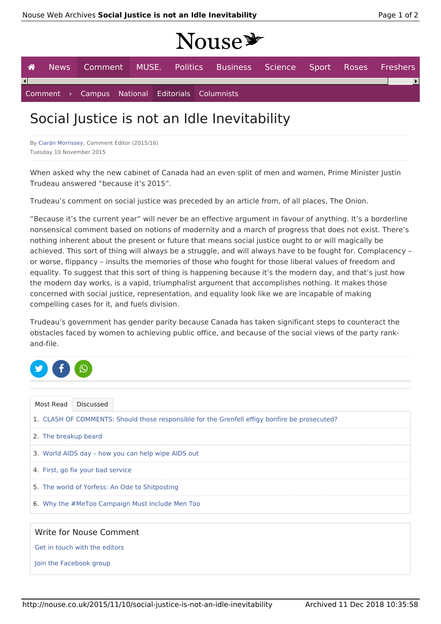## Nouse y

| <b>A</b> |  |  |                                                 | News Comment MUSE. Politics Business Science Sport Roses Freshers |  |  |
|----------|--|--|-------------------------------------------------|-------------------------------------------------------------------|--|--|
|          |  |  |                                                 |                                                                   |  |  |
|          |  |  | Comment > Campus National Editorials Columnists |                                                                   |  |  |

## Social Justice is not an Idle Inevitability

By Ciarán Morrissey, Comment Editor (2015/16) Tuesday 10 November 2015

When asked why the new cabinet of Canada had an even split of men and women, Prime Minister Justin Trudeau answered "because it's 2015".

Trudeau's comment on social justice was preceded by an article from, of all places, The Onion.

"Because it's the current year" will never be an effective argument in favour of anything. It's a borderline nonsensical comment based on notions of modernity and a march of progress that does not exist. There's nothing inherent about the present or future that means social justice ought to or will magically be achieved. This sort of thing will always be a struggle, and will always have to be fought for. Complacency – or worse, flippancy – insults the memories of those who fought for those liberal values of freedom and equality. To suggest that this sort of thing is happening because it's the modern day, and that's just how the modern day works, is a vapid, triumphalist argument that accomplishes nothing. It makes those concerned with social justice, representation, and equality look like we are incapable of making compelling cases for it, and fuels division.

Trudeau's government has gender parity because Canada has taken significant steps to counteract the obstacles faced by women to achieving public office, and because of the social views of the party rankand-file.



| Most Read                                                                                     | Discussed |
|-----------------------------------------------------------------------------------------------|-----------|
| 1. CLASH OF COMMENTS: Should those responsible for the Grenfell effigy bonfire be prosecuted? |           |
| 2. The breakup beard                                                                          |           |
| 3. World AIDS day - how you can help wipe AIDS out                                            |           |
| 4. First, go fix your bad service                                                             |           |
| 5. The world of Yorfess: An Ode to Shitposting                                                |           |
| 6. Why the #MeToo Campaign Must Include Men Too                                               |           |

## Write for Nouse Comment

Get in touch with the editors

Join the Facebook group